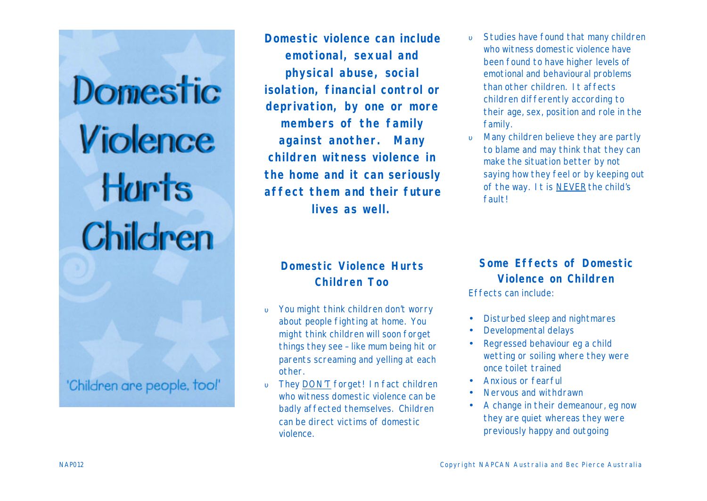Domestic Violence Hurts **Children** 

'Children are people, tool'

**Domestic violence can include emotional, sexual and physical abuse, social isolation, financial control or deprivation, by one or more members of the family against another. Many children witness violence in the home and it can seriously affect them and their future lives as well.**

- υ Studies have found that many children who witness domestic violence have been found to have higher levels of emotional and behavioural problems than other children. It affects children differently according to their age, sex, position and role in the family.
- υ Many children believe they are partly to blame and may think that they can make the situation better by not saying how they feel or by keeping out of the way. It is NEVER the child's fault!

### **Domestic Violence Hurts Children Too**

- υ You might think children don't worry about people fighting at home. You might think children will soon forget things they see – like mum being hit or parents screaming and yelling at each other.
- υ They DON'T forget! In fact children who witness domestic violence can be badly affected themselves. Children can be direct victims of domestic violence.

## **Some Effects of Domestic Violence on Children**

Effects can include:

- Disturbed sleep and nightmares
- Developmental delays
- Regressed behaviour eg a child wetting or soiling where they were once toilet trained
- Anxious or fearful
- Nervous and withdrawn
- A change in their demeanour, eg now they are quiet whereas they were previously happy and outgoing